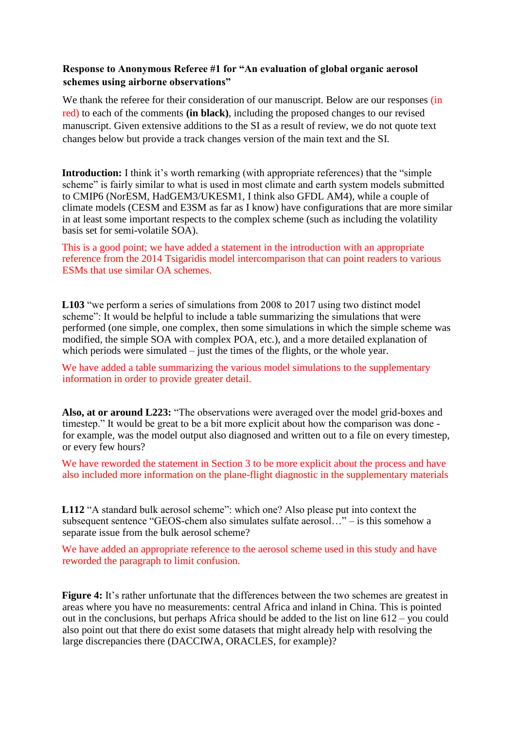## **Response to Anonymous Referee #1 for "An evaluation of global organic aerosol schemes using airborne observations"**

We thank the referee for their consideration of our manuscript. Below are our responses (in red) to each of the comments **(in black)**, including the proposed changes to our revised manuscript. Given extensive additions to the SI as a result of review, we do not quote text changes below but provide a track changes version of the main text and the SI.

**Introduction:** I think it's worth remarking (with appropriate references) that the "simple scheme" is fairly similar to what is used in most climate and earth system models submitted to CMIP6 (NorESM, HadGEM3/UKESM1, I think also GFDL AM4), while a couple of climate models (CESM and E3SM as far as I know) have configurations that are more similar in at least some important respects to the complex scheme (such as including the volatility basis set for semi-volatile SOA).

This is a good point; we have added a statement in the introduction with an appropriate reference from the 2014 Tsigaridis model intercomparison that can point readers to various ESMs that use similar OA schemes.

**L103** "we perform a series of simulations from 2008 to 2017 using two distinct model scheme": It would be helpful to include a table summarizing the simulations that were performed (one simple, one complex, then some simulations in which the simple scheme was modified, the simple SOA with complex POA, etc.), and a more detailed explanation of which periods were simulated – just the times of the flights, or the whole year.

We have added a table summarizing the various model simulations to the supplementary information in order to provide greater detail.

**Also, at or around L223:** "The observations were averaged over the model grid-boxes and timestep." It would be great to be a bit more explicit about how the comparison was done for example, was the model output also diagnosed and written out to a file on every timestep, or every few hours?

We have reworded the statement in Section 3 to be more explicit about the process and have also included more information on the plane-flight diagnostic in the supplementary materials

**L112** "A standard bulk aerosol scheme": which one? Also please put into context the subsequent sentence "GEOS-chem also simulates sulfate aerosol…" – is this somehow a separate issue from the bulk aerosol scheme?

We have added an appropriate reference to the aerosol scheme used in this study and have reworded the paragraph to limit confusion.

**Figure 4:** It's rather unfortunate that the differences between the two schemes are greatest in areas where you have no measurements: central Africa and inland in China. This is pointed out in the conclusions, but perhaps Africa should be added to the list on line 612 – you could also point out that there do exist some datasets that might already help with resolving the large discrepancies there (DACCIWA, ORACLES, for example)?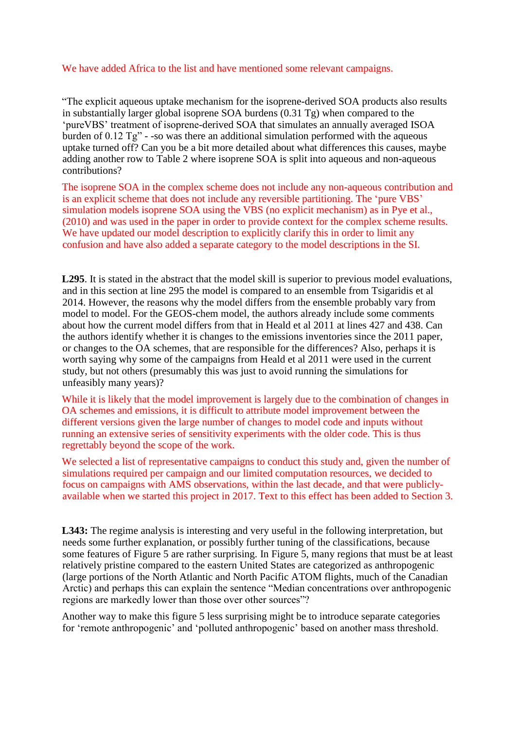## We have added Africa to the list and have mentioned some relevant campaigns.

"The explicit aqueous uptake mechanism for the isoprene-derived SOA products also results in substantially larger global isoprene SOA burdens (0.31 Tg) when compared to the 'pureVBS' treatment of isoprene-derived SOA that simulates an annually averaged ISOA burden of 0.12 Tg" - -so was there an additional simulation performed with the aqueous uptake turned off? Can you be a bit more detailed about what differences this causes, maybe adding another row to Table 2 where isoprene SOA is split into aqueous and non-aqueous contributions?

The isoprene SOA in the complex scheme does not include any non-aqueous contribution and is an explicit scheme that does not include any reversible partitioning. The 'pure VBS' simulation models isoprene SOA using the VBS (no explicit mechanism) as in Pye et al., (2010) and was used in the paper in order to provide context for the complex scheme results. We have updated our model description to explicitly clarify this in order to limit any confusion and have also added a separate category to the model descriptions in the SI.

**L295**. It is stated in the abstract that the model skill is superior to previous model evaluations, and in this section at line 295 the model is compared to an ensemble from Tsigaridis et al 2014. However, the reasons why the model differs from the ensemble probably vary from model to model. For the GEOS-chem model, the authors already include some comments about how the current model differs from that in Heald et al 2011 at lines 427 and 438. Can the authors identify whether it is changes to the emissions inventories since the 2011 paper, or changes to the OA schemes, that are responsible for the differences? Also, perhaps it is worth saying why some of the campaigns from Heald et al 2011 were used in the current study, but not others (presumably this was just to avoid running the simulations for unfeasibly many years)?

While it is likely that the model improvement is largely due to the combination of changes in OA schemes and emissions, it is difficult to attribute model improvement between the different versions given the large number of changes to model code and inputs without running an extensive series of sensitivity experiments with the older code. This is thus regrettably beyond the scope of the work.

We selected a list of representative campaigns to conduct this study and, given the number of simulations required per campaign and our limited computation resources, we decided to focus on campaigns with AMS observations, within the last decade, and that were publiclyavailable when we started this project in 2017. Text to this effect has been added to Section 3.

**L343:** The regime analysis is interesting and very useful in the following interpretation, but needs some further explanation, or possibly further tuning of the classifications, because some features of Figure 5 are rather surprising. In Figure 5, many regions that must be at least relatively pristine compared to the eastern United States are categorized as anthropogenic (large portions of the North Atlantic and North Pacific ATOM flights, much of the Canadian Arctic) and perhaps this can explain the sentence "Median concentrations over anthropogenic regions are markedly lower than those over other sources"?

Another way to make this figure 5 less surprising might be to introduce separate categories for 'remote anthropogenic' and 'polluted anthropogenic' based on another mass threshold.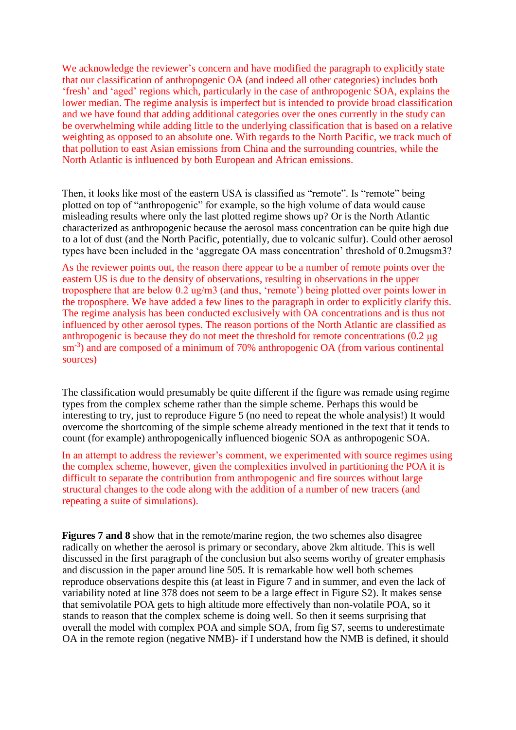We acknowledge the reviewer's concern and have modified the paragraph to explicitly state that our classification of anthropogenic OA (and indeed all other categories) includes both 'fresh' and 'aged' regions which, particularly in the case of anthropogenic SOA, explains the lower median. The regime analysis is imperfect but is intended to provide broad classification and we have found that adding additional categories over the ones currently in the study can be overwhelming while adding little to the underlying classification that is based on a relative weighting as opposed to an absolute one. With regards to the North Pacific, we track much of that pollution to east Asian emissions from China and the surrounding countries, while the North Atlantic is influenced by both European and African emissions.

Then, it looks like most of the eastern USA is classified as "remote". Is "remote" being plotted on top of "anthropogenic" for example, so the high volume of data would cause misleading results where only the last plotted regime shows up? Or is the North Atlantic characterized as anthropogenic because the aerosol mass concentration can be quite high due to a lot of dust (and the North Pacific, potentially, due to volcanic sulfur). Could other aerosol types have been included in the 'aggregate OA mass concentration' threshold of 0.2mugsm3?

As the reviewer points out, the reason there appear to be a number of remote points over the eastern US is due to the density of observations, resulting in observations in the upper troposphere that are below 0.2 ug/m3 (and thus, 'remote') being plotted over points lower in the troposphere. We have added a few lines to the paragraph in order to explicitly clarify this. The regime analysis has been conducted exclusively with OA concentrations and is thus not influenced by other aerosol types. The reason portions of the North Atlantic are classified as anthropogenic is because they do not meet the threshold for remote concentrations (0.2 μg sm<sup>-3</sup>) and are composed of a minimum of 70% anthropogenic OA (from various continental sources)

The classification would presumably be quite different if the figure was remade using regime types from the complex scheme rather than the simple scheme. Perhaps this would be interesting to try, just to reproduce Figure 5 (no need to repeat the whole analysis!) It would overcome the shortcoming of the simple scheme already mentioned in the text that it tends to count (for example) anthropogenically influenced biogenic SOA as anthropogenic SOA.

In an attempt to address the reviewer's comment, we experimented with source regimes using the complex scheme, however, given the complexities involved in partitioning the POA it is difficult to separate the contribution from anthropogenic and fire sources without large structural changes to the code along with the addition of a number of new tracers (and repeating a suite of simulations).

**Figures 7 and 8** show that in the remote/marine region, the two schemes also disagree radically on whether the aerosol is primary or secondary, above 2km altitude. This is well discussed in the first paragraph of the conclusion but also seems worthy of greater emphasis and discussion in the paper around line 505. It is remarkable how well both schemes reproduce observations despite this (at least in Figure 7 and in summer, and even the lack of variability noted at line 378 does not seem to be a large effect in Figure S2). It makes sense that semivolatile POA gets to high altitude more effectively than non-volatile POA, so it stands to reason that the complex scheme is doing well. So then it seems surprising that overall the model with complex POA and simple SOA, from fig S7, seems to underestimate OA in the remote region (negative NMB)- if I understand how the NMB is defined, it should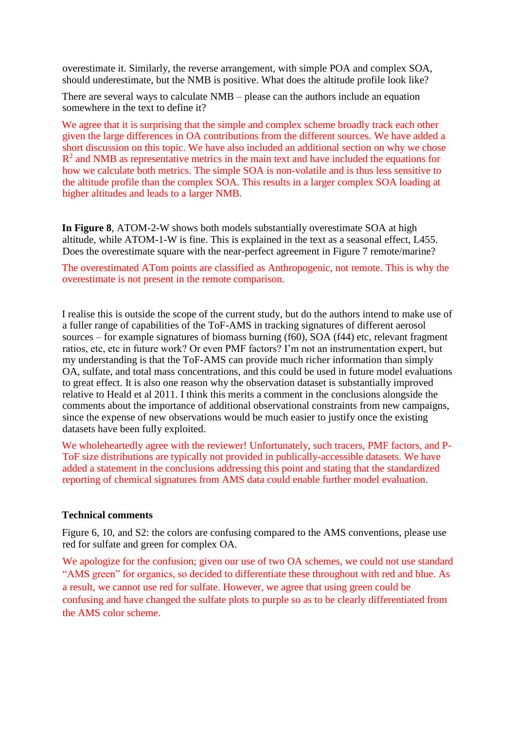overestimate it. Similarly, the reverse arrangement, with simple POA and complex SOA, should underestimate, but the NMB is positive. What does the altitude profile look like?

There are several ways to calculate NMB – please can the authors include an equation somewhere in the text to define it?

We agree that it is surprising that the simple and complex scheme broadly track each other given the large differences in OA contributions from the different sources. We have added a short discussion on this topic. We have also included an additional section on why we chose  $R<sup>2</sup>$  and NMB as representative metrics in the main text and have included the equations for how we calculate both metrics. The simple SOA is non-volatile and is thus less sensitive to the altitude profile than the complex SOA. This results in a larger complex SOA loading at higher altitudes and leads to a larger NMB.

**In Figure 8**, ATOM-2-W shows both models substantially overestimate SOA at high altitude, while ATOM-1-W is fine. This is explained in the text as a seasonal effect, L455. Does the overestimate square with the near-perfect agreement in Figure 7 remote/marine?

The overestimated ATom points are classified as Anthropogenic, not remote. This is why the overestimate is not present in the remote comparison.

I realise this is outside the scope of the current study, but do the authors intend to make use of a fuller range of capabilities of the ToF-AMS in tracking signatures of different aerosol sources – for example signatures of biomass burning (f60), SOA (f44) etc, relevant fragment ratios, etc, etc in future work? Or even PMF factors? I'm not an instrumentation expert, but my understanding is that the ToF-AMS can provide much richer information than simply OA, sulfate, and total mass concentrations, and this could be used in future model evaluations to great effect. It is also one reason why the observation dataset is substantially improved relative to Heald et al 2011. I think this merits a comment in the conclusions alongside the comments about the importance of additional observational constraints from new campaigns, since the expense of new observations would be much easier to justify once the existing datasets have been fully exploited.

We wholeheartedly agree with the reviewer! Unfortunately, such tracers, PMF factors, and P-ToF size distributions are typically not provided in publically-accessible datasets. We have added a statement in the conclusions addressing this point and stating that the standardized reporting of chemical signatures from AMS data could enable further model evaluation.

## **Technical comments**

Figure 6, 10, and S2: the colors are confusing compared to the AMS conventions, please use red for sulfate and green for complex OA.

We apologize for the confusion; given our use of two OA schemes, we could not use standard "AMS green" for organics, so decided to differentiate these throughout with red and blue. As a result, we cannot use red for sulfate. However, we agree that using green could be confusing and have changed the sulfate plots to purple so as to be clearly differentiated from the AMS color scheme.